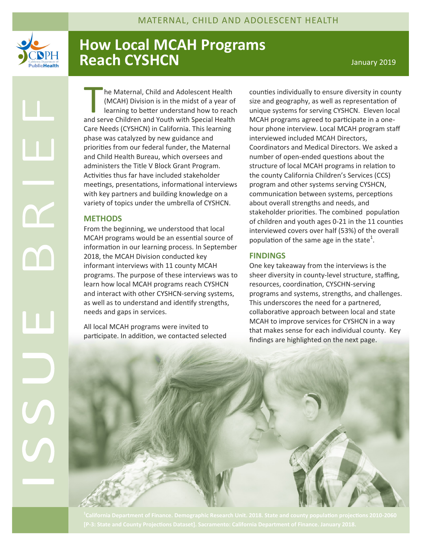

## **How Local MCAH Programs Reach CYSHCN CONSTRUCTER IN THE UP A REACH PARTICLE 2019**

he Maternal, Child and Adolescent Health<br>
(MCAH) Division is in the midst of a year of<br>
learning to better understand how to reach<br>
and serve Children and Youth with Special Health he Maternal, Child and Adolescent Health (MCAH) Division is in the midst of a year of learning to better understand how to reach Care Needs (CYSHCN) in California. This learning phase was catalyzed by new guidance and priorities from our federal funder, the Maternal and Child Health Bureau, which oversees and administers the Title V Block Grant Program. Activities thus far have included stakeholder meetings, presentations, informational interviews with key partners and building knowledge on a variety of topics under the umbrella of CYSHCN.

## **METHODS**

From the beginning, we understood that local MCAH programs would be an essential source of information in our learning process. In September 2018, the MCAH Division conducted key informant interviews with 11 county MCAH programs. The purpose of these interviews was to learn how local MCAH programs reach CYSHCN and interact with other CYSHCN-serving systems, as well as to understand and identify strengths, needs and gaps in services.

All local MCAH programs were invited to participate. In addition, we contacted selected counties individually to ensure diversity in county size and geography, as well as representation of unique systems for serving CYSHCN. Eleven local MCAH programs agreed to participate in a onehour phone interview. Local MCAH program staff interviewed included MCAH Directors, Coordinators and Medical Directors. We asked a number of open-ended questions about the structure of local MCAH programs in relation to the county California Children's Services (CCS) program and other systems serving CYSHCN, communication between systems, perceptions about overall strengths and needs, and stakeholder priorities. The combined population of children and youth ages 0-21 in the 11 counties interviewed covers over half (53%) of the overall population of the same age in the state<sup>1</sup>.

## **FINDINGS**

One key takeaway from the interviews is the sheer diversity in county-level structure, staffing, resources, coordination, CYSCHN-serving programs and systems, strengths, and challenges. This underscores the need for a partnered, collaborative approach between local and state MCAH to improve services for CYSHCN in a way that makes sense for each individual county. Key findings are highlighted on the next page.